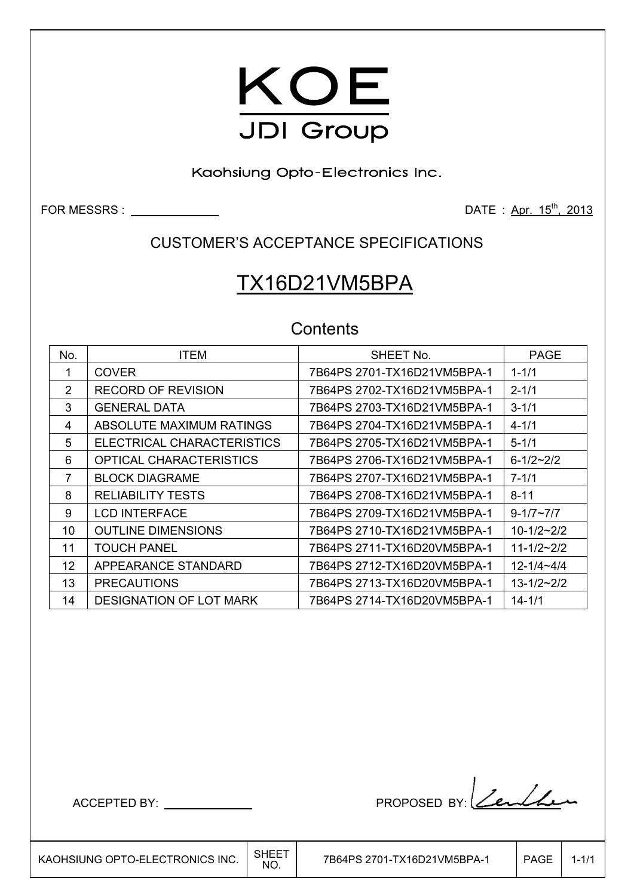

Kaohsiung Opto-Electronics Inc.

FOR MESSRS : DATE : Apr. 15th, 2013

CUSTOMER'S ACCEPTANCE SPECIFICATIONS

# TX16D21VM5BPA

## **Contents**

| No.            | <b>ITEM</b>                    | SHEET No.                   | <b>PAGE</b>         |
|----------------|--------------------------------|-----------------------------|---------------------|
|                | <b>COVER</b>                   | 7B64PS 2701-TX16D21VM5BPA-1 | $1 - 1/1$           |
| $\overline{2}$ | <b>RECORD OF REVISION</b>      |                             | $2 - 1/1$           |
| 3              | <b>GENERAL DATA</b>            | 7B64PS 2703-TX16D21VM5BPA-1 | $3 - 1/1$           |
| 4              | ABSOLUTE MAXIMUM RATINGS       | 7B64PS 2704-TX16D21VM5BPA-1 | $4 - 1/1$           |
| 5              | ELECTRICAL CHARACTERISTICS     |                             | $5 - 1/1$           |
| 6              | OPTICAL CHARACTERISTICS        |                             | $6 - 1/2 - 2/2$     |
|                | <b>BLOCK DIAGRAME</b>          |                             | $7 - 1/1$           |
| 8              | <b>RELIABILITY TESTS</b>       | 7B64PS 2708-TX16D21VM5BPA-1 | $8 - 11$            |
| 9              | <b>LCD INTERFACE</b>           | 7B64PS 2709-TX16D21VM5BPA-1 | $9 - 1/7 \sim 7/7$  |
| 10             | <b>OUTLINE DIMENSIONS</b>      | 7B64PS 2710-TX16D21VM5BPA-1 | $10 - 1/2 - 2/2$    |
| 11             | <b>TOUCH PANEL</b>             |                             | $11 - 1/2 - 2/2$    |
| 12             | APPEARANCE STANDARD            |                             | $12 - 1/4 - 4/4$    |
| 13             | <b>PRECAUTIONS</b>             | 7B64PS 2713-TX16D20VM5BPA-1 | $13 - 1/2 \sim 2/2$ |
| 14             | <b>DESIGNATION OF LOT MARK</b> |                             | $14 - 1/1$          |

ACCEPTED BY: PROPOSED BY: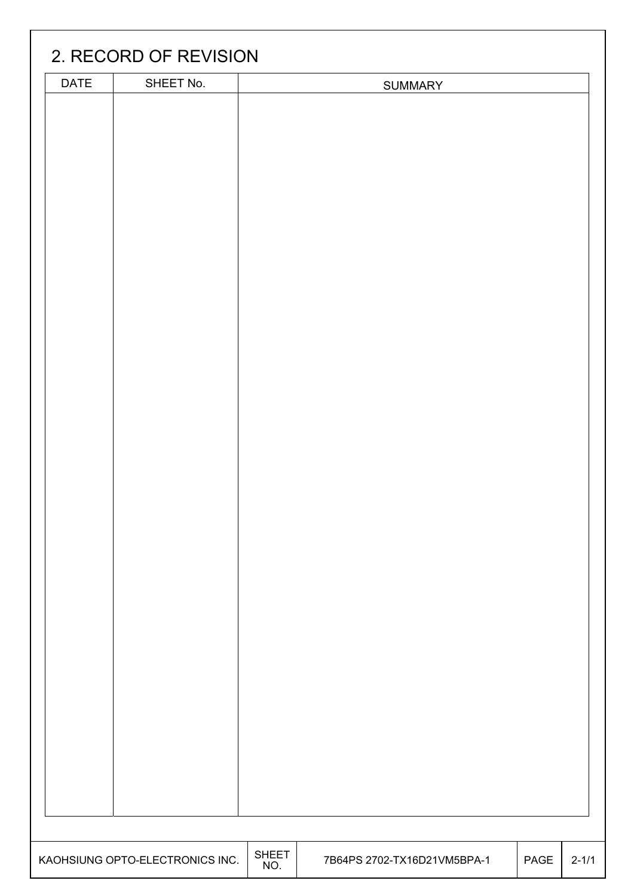| <b>DATE</b> | SHEET No.                       |              | <b>SUMMARY</b>              |      |  |
|-------------|---------------------------------|--------------|-----------------------------|------|--|
|             |                                 |              |                             |      |  |
|             |                                 |              |                             |      |  |
|             |                                 |              |                             |      |  |
|             |                                 |              |                             |      |  |
|             |                                 |              |                             |      |  |
|             |                                 |              |                             |      |  |
|             |                                 |              |                             |      |  |
|             |                                 |              |                             |      |  |
|             |                                 |              |                             |      |  |
|             |                                 |              |                             |      |  |
|             |                                 |              |                             |      |  |
|             |                                 |              |                             |      |  |
|             |                                 |              |                             |      |  |
|             |                                 |              |                             |      |  |
|             |                                 |              |                             |      |  |
|             |                                 |              |                             |      |  |
|             |                                 |              |                             |      |  |
|             |                                 |              |                             |      |  |
|             |                                 |              |                             |      |  |
|             |                                 |              |                             |      |  |
|             |                                 |              |                             |      |  |
|             |                                 |              |                             |      |  |
|             |                                 |              |                             |      |  |
|             |                                 |              |                             |      |  |
|             |                                 |              |                             |      |  |
|             |                                 |              |                             |      |  |
|             |                                 |              |                             |      |  |
|             |                                 |              |                             |      |  |
|             |                                 |              |                             |      |  |
|             |                                 |              |                             |      |  |
|             |                                 |              |                             |      |  |
|             |                                 |              |                             |      |  |
|             |                                 |              |                             |      |  |
|             |                                 |              |                             |      |  |
|             | KAOHSIUNG OPTO-ELECTRONICS INC. | <b>SHEET</b> | 7B64PS 2702-TX16D21VM5BPA-1 | PAGE |  |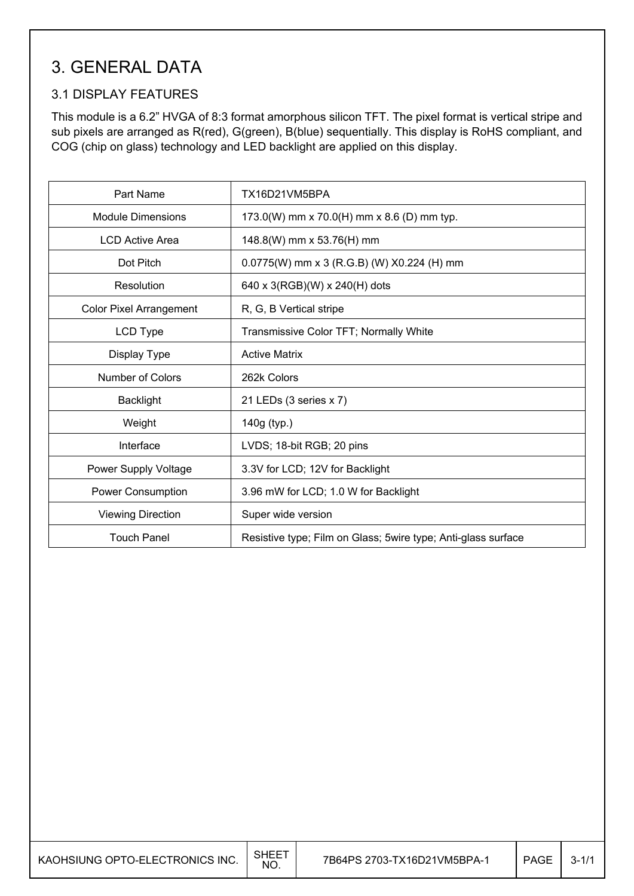# 3. GENERAL DATA

## 3.1 DISPLAY FEATURES

This module is a 6.2" HVGA of 8:3 format amorphous silicon TFT. The pixel format is vertical stripe and sub pixels are arranged as R(red), G(green), B(blue) sequentially. This display is RoHS compliant, and COG (chip on glass) technology and LED backlight are applied on this display.

| Part Name                      | TX16D21VM5BPA                                                  |
|--------------------------------|----------------------------------------------------------------|
| <b>Module Dimensions</b>       | 173.0(W) mm x 70.0(H) mm x 8.6 (D) mm typ.                     |
| <b>LCD Active Area</b>         | 148.8(W) mm x 53.76(H) mm                                      |
| Dot Pitch                      | 0.0775(W) mm x 3 (R.G.B) (W) X0.224 (H) mm                     |
| Resolution                     | 640 x 3(RGB)(W) x 240(H) dots                                  |
| <b>Color Pixel Arrangement</b> | R, G, B Vertical stripe                                        |
| LCD Type                       | Transmissive Color TFT; Normally White                         |
| Display Type                   | <b>Active Matrix</b>                                           |
| <b>Number of Colors</b>        | 262k Colors                                                    |
| <b>Backlight</b>               | 21 LEDs (3 series x 7)                                         |
| Weight                         | 140g (typ.)                                                    |
| Interface                      | LVDS; 18-bit RGB; 20 pins                                      |
| Power Supply Voltage           | 3.3V for LCD; 12V for Backlight                                |
| Power Consumption              | 3.96 mW for LCD; 1.0 W for Backlight                           |
| <b>Viewing Direction</b>       | Super wide version                                             |
| <b>Touch Panel</b>             | Resistive type; Film on Glass; 5 wire type; Anti-glass surface |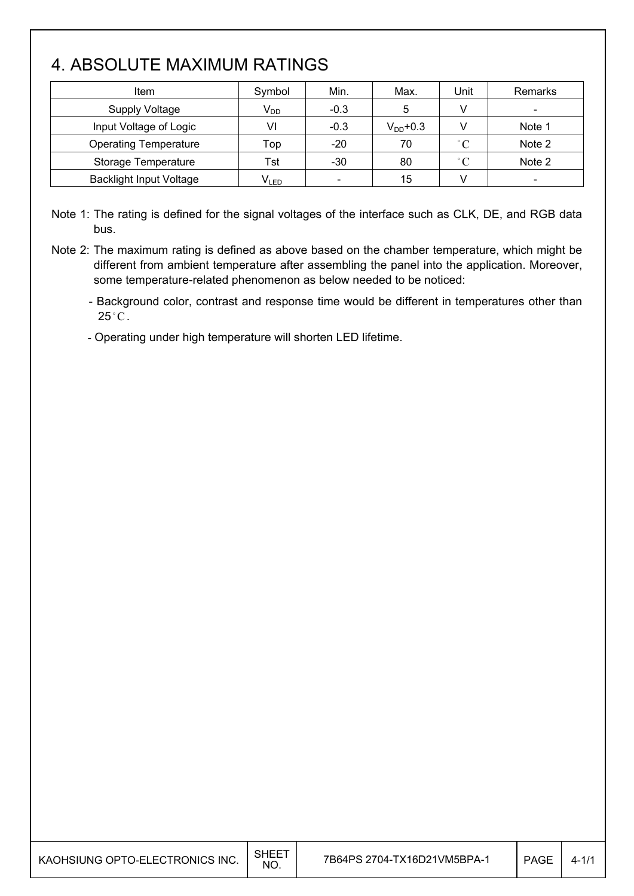# 4. ABSOLUTE MAXIMUM RATINGS

I

| Item                           | Symbol          | Min.                     | Max.          | Unit        | Remarks                  |
|--------------------------------|-----------------|--------------------------|---------------|-------------|--------------------------|
| <b>Supply Voltage</b>          | V <sub>DD</sub> | $-0.3$                   | 5             | v           | $\overline{\phantom{a}}$ |
| Input Voltage of Logic         | VI              | $-0.3$                   | $V_{DD}$ +0.3 |             | Note 1                   |
| <b>Operating Temperature</b>   | Top             | $-20$                    | 70            | $^{\circ}C$ | Note 2                   |
| Storage Temperature            | Tst             | $-30$                    | 80            | $\degree$ C | Note 2                   |
| <b>Backlight Input Voltage</b> | $V_{LED}$       | $\overline{\phantom{a}}$ | 15            |             |                          |

Note 1: The rating is defined for the signal voltages of the interface such as CLK, DE, and RGB data bus.

Note 2: The maximum rating is defined as above based on the chamber temperature, which might be different from ambient temperature after assembling the panel into the application. Moreover, some temperature-related phenomenon as below needed to be noticed:

- Background color, contrast and response time would be different in temperatures other than  $25^{\circ}$ C.

- Operating under high temperature will shorten LED lifetime.

| KAOHSIUNG OPTO-ELECTRONICS INC. | <b>SHEE</b><br>NO. | 7B64PS 2704-TX16D21VM5BPA-1 | <b>PAGE</b> | $4 - 1/1$ |
|---------------------------------|--------------------|-----------------------------|-------------|-----------|
|                                 |                    |                             |             |           |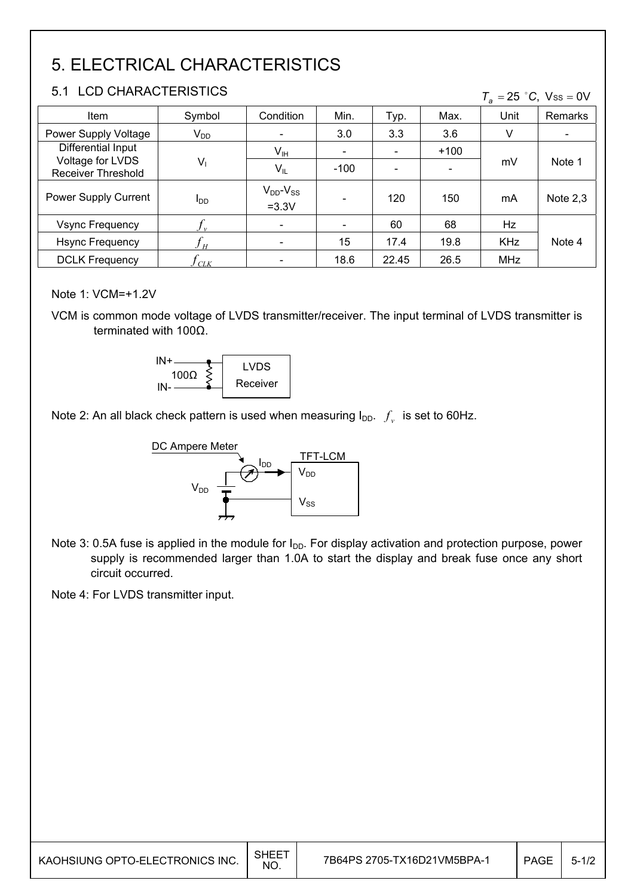# 5. ELECTRICAL CHARACTERISTICS

## 5.1 LCD CHARACTERISTICS

| 5.1 LUD UHARAU I ERISTIUS<br>$T_a = 25$ °C, Vss = 0V |                 |                                |        |       |        |            |            |
|------------------------------------------------------|-----------------|--------------------------------|--------|-------|--------|------------|------------|
| <b>Item</b>                                          | Symbol          | Condition                      | Min.   | Typ.  | Max.   | Unit       | Remarks    |
| Power Supply Voltage                                 | $V_{DD}$        | $\overline{\phantom{a}}$       | 3.0    | 3.3   | 3.6    | V          |            |
| Differential Input                                   |                 | V <sub>IH</sub>                |        |       | $+100$ |            |            |
| Voltage for LVDS<br>Receiver Threshold               | $V_1$           | $V_{IL}$                       | $-100$ |       |        | mV         | Note 1     |
| Power Supply Current                                 | l <sub>DD</sub> | $V_{DD}$ - $V_{SS}$<br>$=3.3V$ |        | 120   | 150    | mA         | Note $2,3$ |
| <b>Vsync Frequency</b>                               |                 | $\overline{\phantom{a}}$       |        | 60    | 68     | Hz         |            |
| <b>Hsync Frequency</b>                               | H               | $\overline{\phantom{a}}$       | 15     | 17.4  | 19.8   | <b>KHz</b> | Note 4     |
| <b>DCLK Frequency</b>                                | CLK             | $\overline{\phantom{a}}$       | 18.6   | 22.45 | 26.5   | <b>MHz</b> |            |

### Note 1: VCM=+1.2V

VCM is common mode voltage of LVDS transmitter/receiver. The input terminal of LVDS transmitter is terminated with  $100\Omega$ .



Note 2: An all black check pattern is used when measuring  $I_{DD}$ .  $f_v$  is set to 60Hz.



Note 3: 0.5A fuse is applied in the module for  $I_{DD}$ . For display activation and protection purpose, power supply is recommended larger than 1.0A to start the display and break fuse once any short circuit occurred.

Note 4: For LVDS transmitter input.

| I KAOHSIUNG OPTO-ELECTRONICS INC. | <b>SHEET</b><br>NO. | 7B64PS 2705-TX16D21VM5BPA-1 | <b>PAGE</b> | $5 - 1/2$ |
|-----------------------------------|---------------------|-----------------------------|-------------|-----------|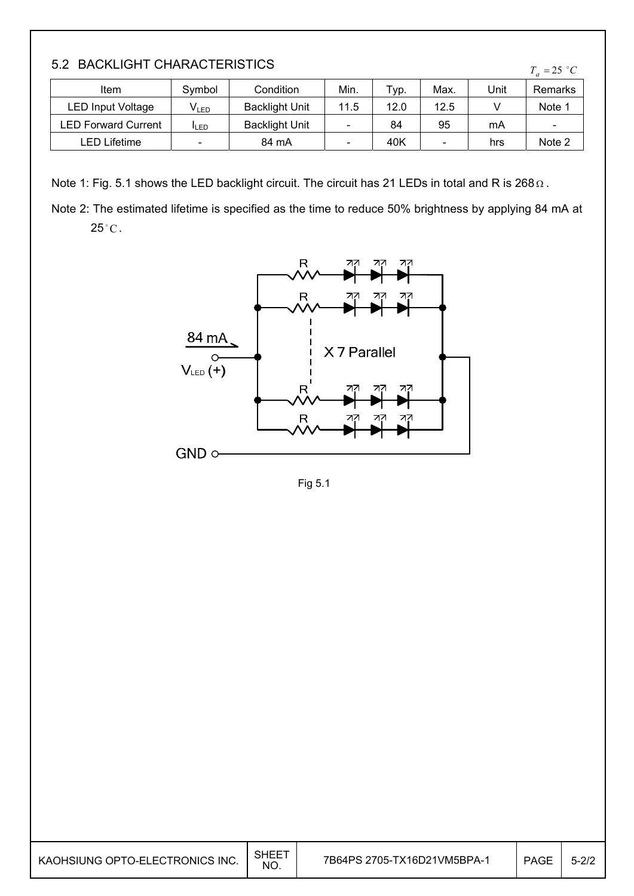| 5.2 BACKLIGHT CHARACTERISTICS |  |
|-------------------------------|--|
|-------------------------------|--|

| <b>U.A. DAVILIUITI VIIAIVAULLINOTIUJ</b><br>$T_a = 25 \degree C$ |                          |                       |                          |      |      |      |                              |
|------------------------------------------------------------------|--------------------------|-----------------------|--------------------------|------|------|------|------------------------------|
| Item                                                             | Symbol                   | Condition             | Min.                     | Typ. | Max. | Unit | Remarks                      |
| <b>LED Input Voltage</b>                                         | V <sub>led</sub>         | <b>Backlight Unit</b> | 11.5                     | 12.0 | 12.5 |      | Note 1                       |
| <b>LED Forward Current</b>                                       | <b>ILED</b>              | <b>Backlight Unit</b> | $\overline{\phantom{0}}$ | 84   | 95   | mA   | $\qquad \qquad \blacksquare$ |
| LED Lifetime                                                     | $\overline{\phantom{0}}$ | 84 mA                 | $\overline{\phantom{0}}$ | 40K  | -    | hrs  | Note 2                       |

Note 1: Fig. 5.1 shows the LED backlight circuit. The circuit has 21 LEDs in total and R is 268  $\Omega$ .

Note 2: The estimated lifetime is specified as the time to reduce 50% brightness by applying 84 mA at  $25^{\circ}$ C.



Fig 5.1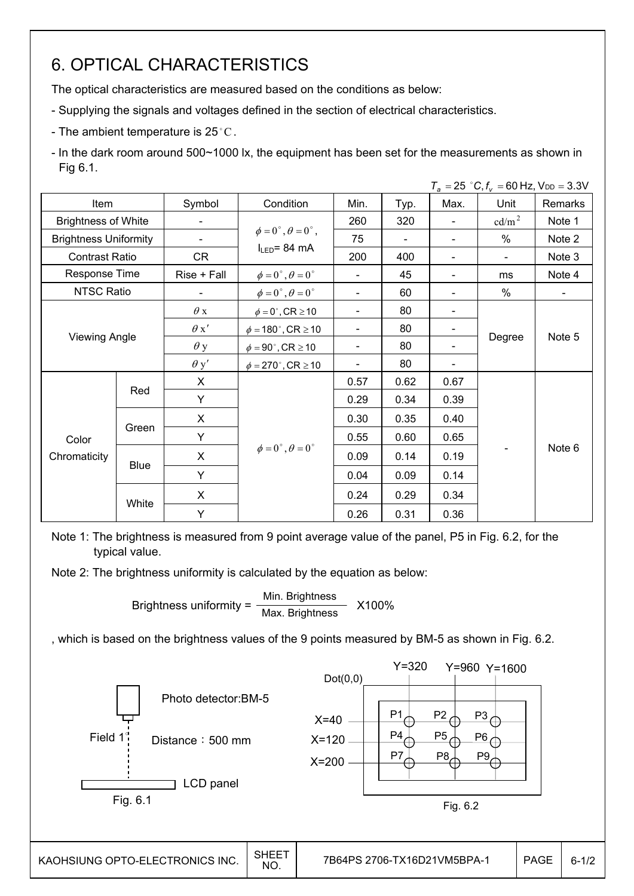# 6. OPTICAL CHARACTERISTICS

The optical characteristics are measured based on the conditions as below:

- Supplying the signals and voltages defined in the section of electrical characteristics.
- The ambient temperature is 25 °C.

- In the dark room around 500~1000 lx, the equipment has been set for the measurements as shown in Fig 6.1.

|                              |                      |             |                                         |                          |      |      | $T_a = 25$ °C, $f_v = 60$ Hz, $V_{DD} = 3.3$ V |                |
|------------------------------|----------------------|-------------|-----------------------------------------|--------------------------|------|------|------------------------------------------------|----------------|
| Item                         |                      | Symbol      | Condition                               | Min.                     | Typ. | Max. | Unit                                           | Remarks        |
| <b>Brightness of White</b>   |                      |             |                                         | 260                      | 320  |      | $\text{cd/m}^2$                                | Note 1         |
| <b>Brightness Uniformity</b> |                      |             | $\phi = 0^{\circ}, \theta = 0^{\circ},$ | 75                       |      |      | %                                              | Note 2         |
| <b>Contrast Ratio</b>        |                      | CR          | $I_{LED}$ = 84 mA                       | 200                      | 400  |      | $\blacksquare$                                 | Note 3         |
| Response Time                |                      | Rise + Fall | $\phi = 0^{\circ}, \theta = 0^{\circ}$  |                          | 45   |      | ms                                             | Note 4         |
| <b>NTSC Ratio</b>            |                      |             | $\phi = 0^\circ$ , $\theta = 0^\circ$   | $\overline{\phantom{a}}$ | 60   |      | %                                              | $\blacksquare$ |
|                              |                      | $\theta$ x  | $\phi = 0^\circ$ , CR $\geq 10$         | $\overline{\phantom{a}}$ | 80   |      |                                                |                |
|                              |                      | $\theta x'$ | $\phi = 180^\circ$ , CR $\geq 10$       | $\blacksquare$           | 80   |      |                                                |                |
|                              | <b>Viewing Angle</b> |             | $\phi = 90^\circ$ , CR $\geq 10$        | $\overline{\phantom{a}}$ | 80   |      | Degree                                         | Note 5         |
|                              |                      | $\theta$ y' | $\phi = 270^\circ$ , CR $\geq 10$       |                          | 80   |      |                                                |                |
|                              | Red                  | X           |                                         | 0.57                     | 0.62 | 0.67 |                                                | Note 6         |
|                              |                      | Y           |                                         | 0.29                     | 0.34 | 0.39 |                                                |                |
|                              |                      | X           |                                         | 0.30                     | 0.35 | 0.40 |                                                |                |
| Color                        | Green                | Y           |                                         | 0.55                     | 0.60 | 0.65 |                                                |                |
| Chromaticity                 |                      | X           | $\phi = 0^{\circ}, \theta = 0^{\circ}$  | 0.09                     | 0.14 | 0.19 |                                                |                |
|                              | <b>Blue</b>          | Y           |                                         | 0.04                     | 0.09 | 0.14 |                                                |                |
|                              |                      | X           |                                         | 0.24                     | 0.29 | 0.34 |                                                |                |
|                              | White                | Y           |                                         | 0.26                     | 0.31 | 0.36 |                                                |                |

Note 1: The brightness is measured from 9 point average value of the panel, P5 in Fig. 6.2, for the typical value.

Note 2: The brightness uniformity is calculated by the equation as below:

Brightness uniformity =  $\frac{\text{Min.~Brightness}}{\text{Max.~Brightness}}$  X100%

, which is based on the brightness values of the 9 points measured by BM-5 as shown in Fig. 6.2.

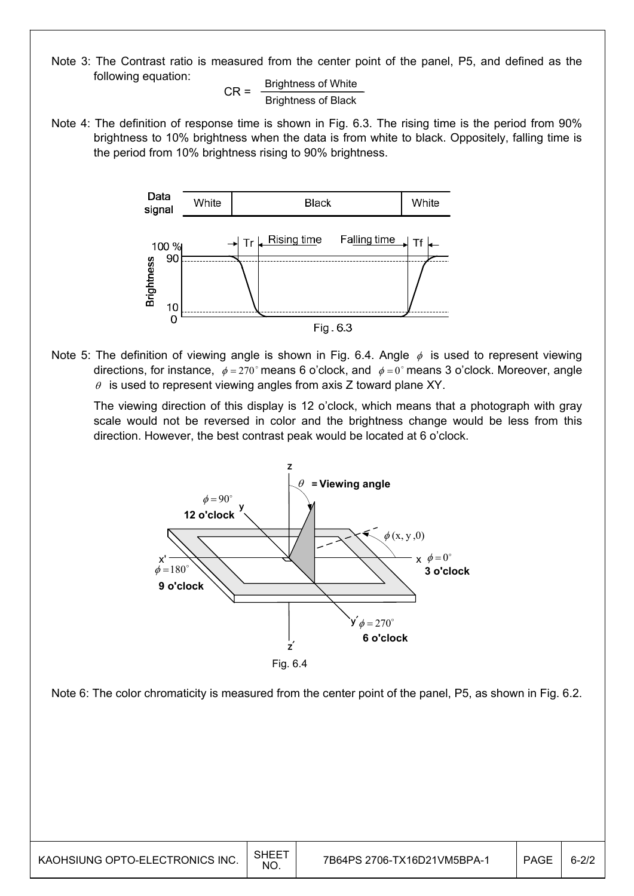Note 3: The Contrast ratio is measured from the center point of the panel, P5, and defined as the following equation:

 $CR =$  Brightness of White Brightness of Black

Note 4: The definition of response time is shown in Fig. 6.3. The rising time is the period from 90% brightness to 10% brightness when the data is from white to black. Oppositely, falling time is the period from 10% brightness rising to 90% brightness.



Note 5: The definition of viewing angle is shown in Fig. 6.4. Angle  $\phi$  is used to represent viewing directions, for instance,  $\phi = 270^\circ$  means 6 o'clock, and  $\phi = 0^\circ$  means 3 o'clock. Moreover, angle  $\theta$  is used to represent viewing angles from axis Z toward plane XY.

 The viewing direction of this display is 12 o'clock, which means that a photograph with gray scale would not be reversed in color and the brightness change would be less from this direction. However, the best contrast peak would be located at 6 o'clock.



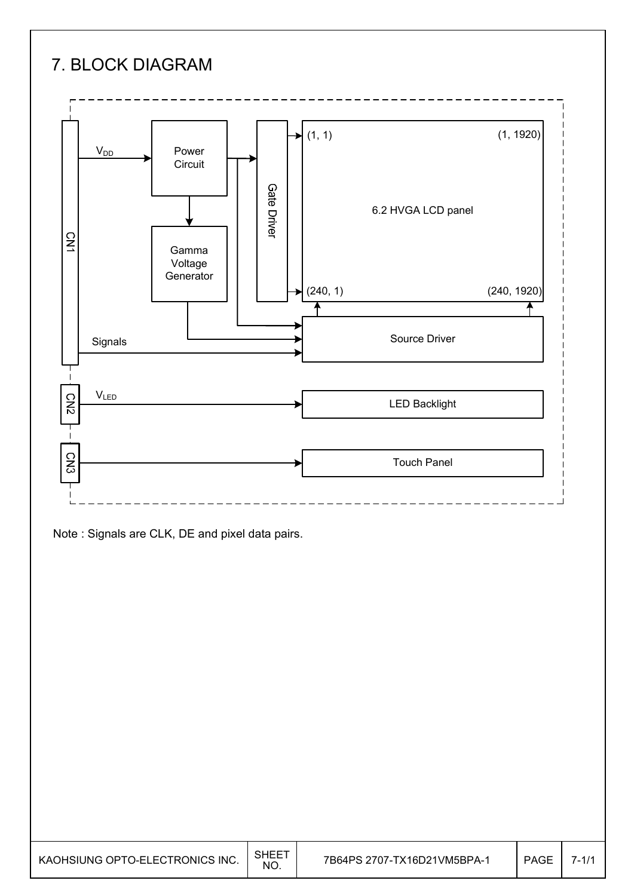# 7. BLOCK DIAGRAM



Note : Signals are CLK, DE and pixel data pairs.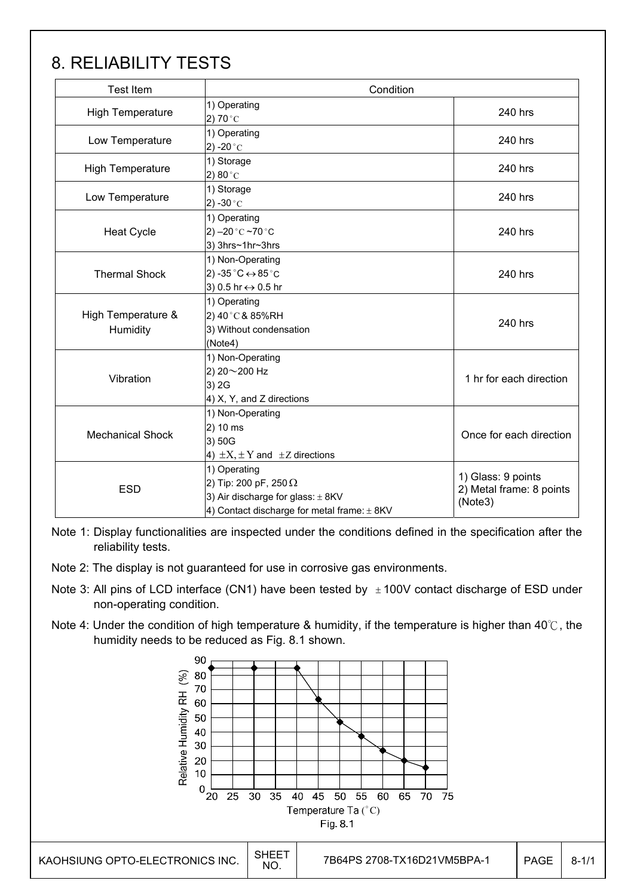# 8. RELIABILITY TESTS

| <b>Test Item</b>               | Condition                                                                                                                            |                                                           |  |
|--------------------------------|--------------------------------------------------------------------------------------------------------------------------------------|-----------------------------------------------------------|--|
| <b>High Temperature</b>        | 1) Operating<br>2) 70 $^{\circ}$ C                                                                                                   | 240 hrs                                                   |  |
| Low Temperature                | 1) Operating<br>2) -20 $^{\circ}$ C                                                                                                  | 240 hrs                                                   |  |
| <b>High Temperature</b>        | 1) Storage<br>2) 80 $^{\circ}$ C                                                                                                     | 240 hrs                                                   |  |
| Low Temperature                | 1) Storage<br>2) -30 $^{\circ}$ C                                                                                                    | 240 hrs                                                   |  |
| <b>Heat Cycle</b>              | 1) Operating<br>2) $-20$ °C $-70$ °C<br>3) 3hrs~1hr~3hrs                                                                             | 240 hrs                                                   |  |
| <b>Thermal Shock</b>           | 1) Non-Operating<br>2) -35 $^{\circ}$ C $\leftrightarrow$ 85 $^{\circ}$ C<br>3) 0.5 hr ↔ 0.5 hr                                      | 240 hrs                                                   |  |
| High Temperature &<br>Humidity | 1) Operating<br>2) 40°C & 85%RH<br>3) Without condensation<br>(Note4)                                                                | 240 hrs                                                   |  |
| Vibration                      | 1) Non-Operating<br>2) 20~200 Hz<br>3) 2G<br>4) X, Y, and Z directions                                                               | 1 hr for each direction                                   |  |
| <b>Mechanical Shock</b>        | 1) Non-Operating<br>2) 10 ms<br>3) 50G<br>4) $\pm X$ , $\pm Y$ and $\pm Z$ directions                                                | Once for each direction                                   |  |
| <b>ESD</b>                     | 1) Operating<br>2) Tip: 200 pF, 250 $\Omega$<br>3) Air discharge for glass: ± 8KV<br>4) Contact discharge for metal frame: $\pm$ 8KV | 1) Glass: 9 points<br>2) Metal frame: 8 points<br>(Note3) |  |

Note 1: Display functionalities are inspected under the conditions defined in the specification after the reliability tests.

- Note 2: The display is not guaranteed for use in corrosive gas environments.
- Note 3: All pins of LCD interface (CN1) have been tested by  $\pm$  100V contact discharge of ESD under non-operating condition.
- Note 4: Under the condition of high temperature & humidity, if the temperature is higher than 40 $\degree$ C, the humidity needs to be reduced as Fig. 8.1 shown.

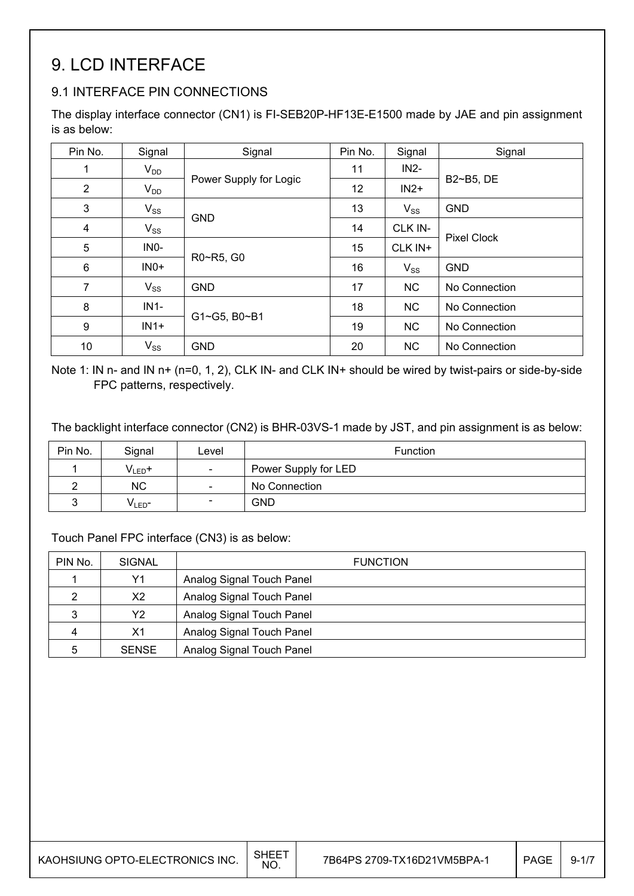# 9. LCD INTERFACE

## 9.1 INTERFACE PIN CONNECTIONS

The display interface connector (CN1) is FI-SEB20P-HF13E-E1500 made by JAE and pin assignment is as below:

| Pin No.        | Signal            | Signal                 | Pin No. | Signal    | Signal             |
|----------------|-------------------|------------------------|---------|-----------|--------------------|
| 1              | $V_{DD}$          |                        | 11      | $IN2-$    |                    |
| 2              | $V_{DD}$          | Power Supply for Logic | 12      | $IN2+$    | B2~B5, DE          |
| 3              | $V_{SS}$          |                        | 13      | $V_{SS}$  | <b>GND</b>         |
| $\overline{4}$ | $V_{SS}$          | <b>GND</b>             | 14      | CLK IN-   |                    |
| 5              | IN <sub>0</sub> - |                        | 15      | CLK IN+   | <b>Pixel Clock</b> |
| $\,6$          | $INO+$            | R0~R5, G0              | 16      | $V_{SS}$  | <b>GND</b>         |
| $\overline{7}$ | $V_{SS}$          | <b>GND</b>             | 17      | <b>NC</b> | No Connection      |
| 8              | $IN1-$            |                        | 18      | <b>NC</b> | No Connection      |
| 9              | $IN1+$            | G1~G5, B0~B1           | 19      | <b>NC</b> | No Connection      |
| 10             | $V_{SS}$          | <b>GND</b>             | 20      | <b>NC</b> | No Connection      |

Note 1: IN n- and IN n+ (n=0, 1, 2), CLK IN- and CLK IN+ should be wired by twist-pairs or side-by-side FPC patterns, respectively.

The backlight interface connector (CN2) is BHR-03VS-1 made by JST, and pin assignment is as below:

| Pin No. | Signal            | Level                    | <b>Function</b>      |
|---------|-------------------|--------------------------|----------------------|
|         | $V_{LED}$ +       | $\overline{\phantom{a}}$ | Power Supply for LED |
|         | <b>NC</b>         | $\overline{\phantom{a}}$ | No Connection        |
|         | VLED <sup>-</sup> | $\overline{\phantom{a}}$ | <b>GND</b>           |

#### Touch Panel FPC interface (CN3) is as below:

| PIN No. | <b>SIGNAL</b>  | <b>FUNCTION</b>           |
|---------|----------------|---------------------------|
|         | Υ1             | Analog Signal Touch Panel |
|         | X <sub>2</sub> | Analog Signal Touch Panel |
| 3       | Y2             | Analog Signal Touch Panel |
| 4       | X <sub>1</sub> | Analog Signal Touch Panel |
| 5       | <b>SENSE</b>   | Analog Signal Touch Panel |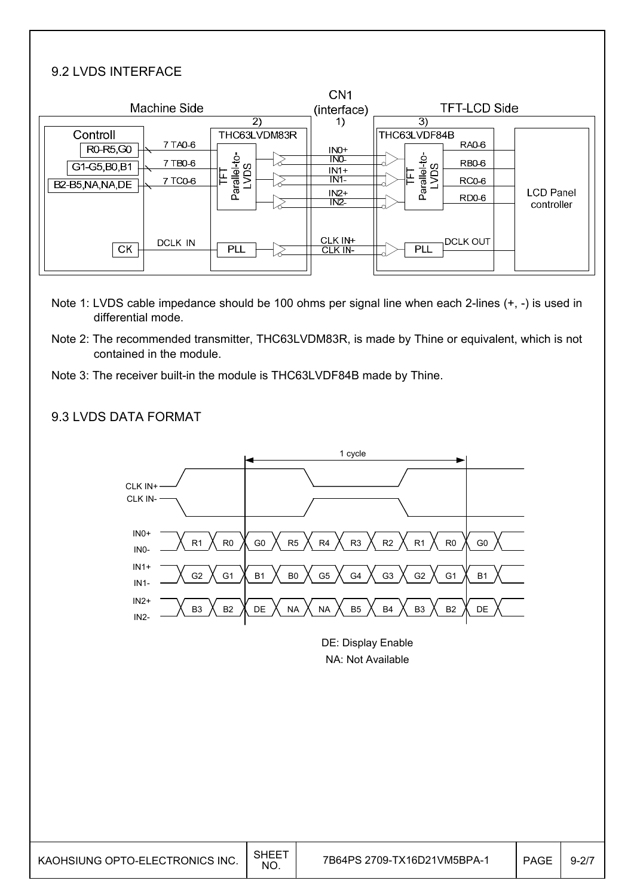## 9.2 LVDS INTERFACE

| Machine Side                                                |                                           | CN <sub>1</sub><br>(interface) | <b>TFT-LCD Side</b>                                                        |                                |
|-------------------------------------------------------------|-------------------------------------------|--------------------------------|----------------------------------------------------------------------------|--------------------------------|
| Controll<br>7 TAO 6<br>R0-R5,G0<br>7 TB0-6<br>G1-G5, B0, B1 | $\mathbf{2}$<br>THC63LVDM83R<br><b>DS</b> | 1)<br>$INO+$<br>INO-<br>$IN1+$ | 3)<br>THC63LVDF84B<br><b>RA0-6</b><br>Parallel-to-<br>LVDS<br><b>RB0-6</b> |                                |
| 7 TC0-6<br>B2-B5, NA, NA, DE                                | Parallel-to<br>IE.                        | $IN1-$<br>$IN2+$<br>INZ        | RC0-6<br>RD <sub>0</sub> -6                                                | <b>LCD Panel</b><br>controller |
| DCLK IN<br><b>CK</b>                                        | PLL                                       | CLK IN+<br>CLK IN-             | <b>DCLK OUT</b><br>PLL                                                     |                                |

- Note 1: LVDS cable impedance should be 100 ohms per signal line when each 2-lines (+, -) is used in differential mode.
- Note 2: The recommended transmitter, THC63LVDM83R, is made by Thine or equivalent, which is not contained in the module.
- Note 3: The receiver built-in the module is THC63LVDF84B made by Thine.

### 9.3 LVDS DATA FORMAT



DE: Display Enable NA: Not Available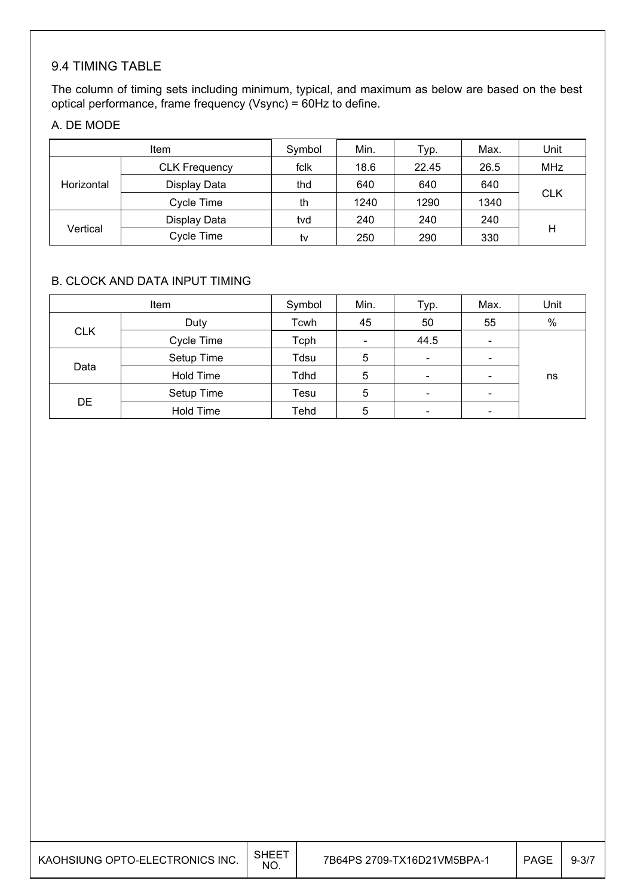# 9.4 TIMING TABLE

The column of timing sets including minimum, typical, and maximum as below are based on the best optical performance, frame frequency (Vsync) = 60Hz to define.

### A. DE MODE

|            | Item                 | Symbol | Min. | Typ.  | Max. | Unit       |
|------------|----------------------|--------|------|-------|------|------------|
|            | <b>CLK Frequency</b> | fclk   | 18.6 | 22.45 | 26.5 | <b>MHz</b> |
| Horizontal | Display Data         | thd    | 640  | 640   | 640  |            |
|            | Cycle Time           | th     | 1240 | 1290  | 1340 | <b>CLK</b> |
| Vertical   | Display Data         | tvd    | 240  | 240   | 240  |            |
|            | Cycle Time           | tv     | 250  | 290   | 330  | Η          |

### B. CLOCK AND DATA INPUT TIMING

|            | Item             | Symbol      | Min.                     | Typ. | Max.                     | Unit |
|------------|------------------|-------------|--------------------------|------|--------------------------|------|
|            | Duty             | Tcwh        | 45                       | 50   | 55                       | $\%$ |
| <b>CLK</b> | Cycle Time       | Tcph        | $\overline{\phantom{0}}$ | 44.5 | $\overline{\phantom{a}}$ |      |
| Data       | Setup Time       | Tdsu        | 5                        | -    | $\overline{\phantom{0}}$ |      |
|            | <b>Hold Time</b> | <b>Tdhd</b> | 5                        |      |                          | ns   |
| DE         | Setup Time       | Tesu        | 5                        |      |                          |      |
|            | <b>Hold Time</b> | Tehd        | 5                        |      |                          |      |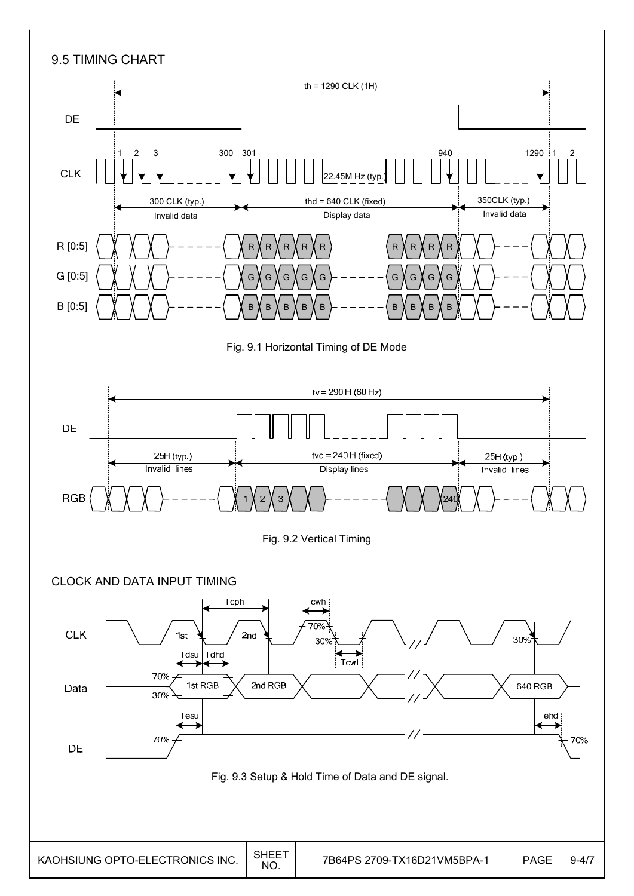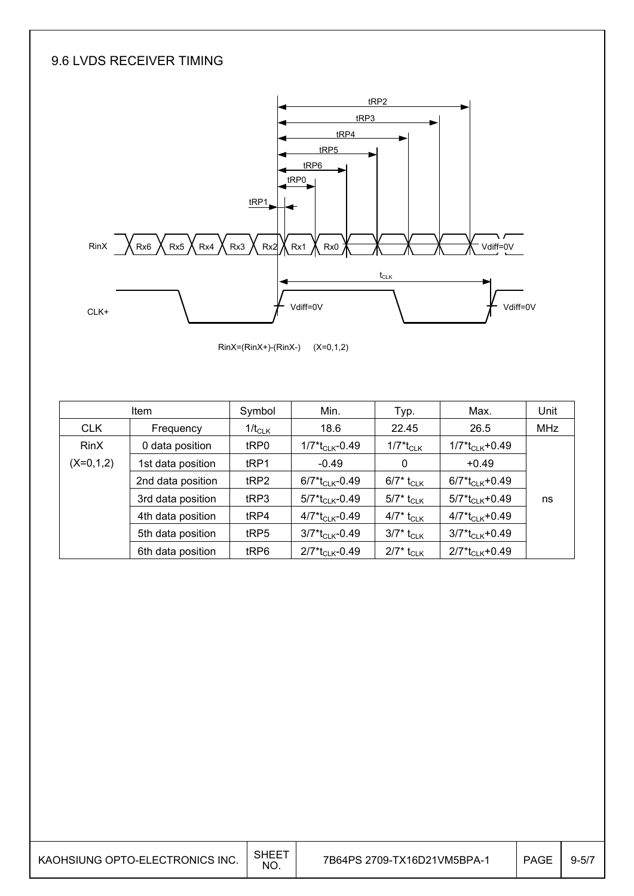## 9.6 LVDS RECEIVER TIMING



 $RinX=(RinX+)-(RinX-)$   $(X=0,1,2)$ 

| <b>Item</b> |                   | Symbol           | Min.                                       | Typ.                                | Max.                                      | Unit       |
|-------------|-------------------|------------------|--------------------------------------------|-------------------------------------|-------------------------------------------|------------|
| <b>CLK</b>  | Frequency         | $1/t_{CLK}$      | 18.6                                       | 22.45                               | 26.5                                      | <b>MHz</b> |
| <b>RinX</b> | 0 data position   | tRP0             | 1/7*t <sub>CLK</sub> -0.49                 | 1/7*t <sub>CLK</sub>                | $1/7$ * $t_{CLK}$ +0.49                   |            |
| $(X=0,1,2)$ | 1st data position | tRP1             | $-0.49$                                    | 0                                   | $+0.49$                                   |            |
|             | 2nd data position | tRP2             | $6/7$ <sup>*</sup> t <sub>CLK</sub> -0.49  | 6/7* $t_{\scriptstyle\textrm{CLK}}$ | $6/7*t_{CLK}+0.49$                        |            |
|             | 3rd data position | tRP3             | $5/7$ <sup>*</sup> t <sub>CLK</sub> -0.49  | $5/7^*$ t <sub>CLK</sub>            | $5/7$ <sup>*</sup> t <sub>CLK</sub> +0.49 | ns         |
|             | 4th data position | t <sub>RP4</sub> | $4/7$ <sup>*</sup> t <sub>CLK</sub> -0.49  | 4/7* t <sub>CLK</sub>               | $4/7$ <sup>*</sup> t <sub>CLK</sub> +0.49 |            |
|             | 5th data position | tRP5             | $3/7$ <sup>*</sup> t <sub>Cl K</sub> -0.49 | $3/7^*$ t <sub>CLK</sub>            | $3/7*t_{CLK}+0.49$                        |            |
|             | 6th data position | tRP6             | $2/7$ <sup>*</sup> t <sub>CLK</sub> -0.49  | $2/7^*$ t <sub>CLK</sub>            | $2/7*t_{CLK}+0.49$                        |            |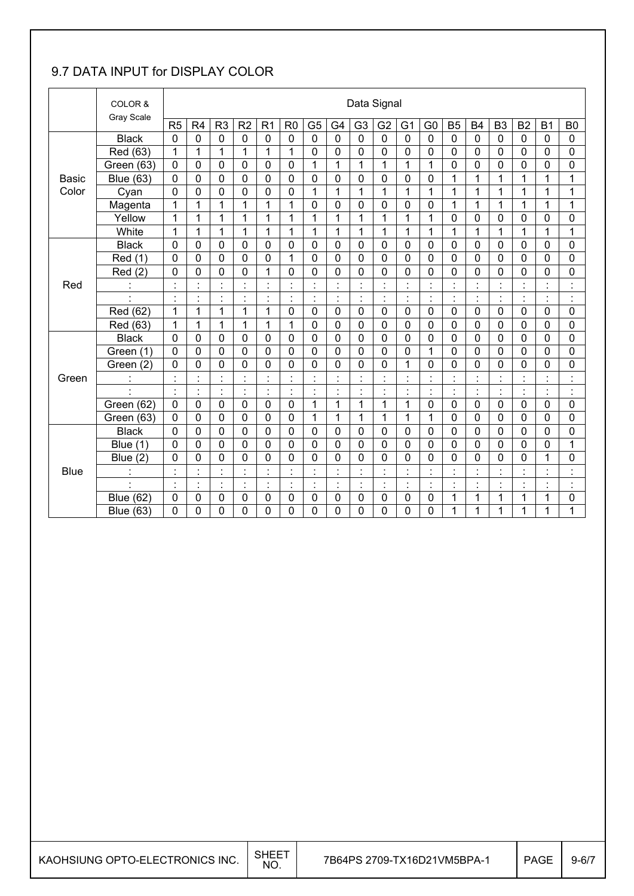## 9.7 DATA INPUT for DISPLAY COLOR

|              | COLOR &                  |                |                |                                   |                |                      |                |                |                                            | Data Signal          |                |                      |                           |                      |                |                |                |                |                            |
|--------------|--------------------------|----------------|----------------|-----------------------------------|----------------|----------------------|----------------|----------------|--------------------------------------------|----------------------|----------------|----------------------|---------------------------|----------------------|----------------|----------------|----------------|----------------|----------------------------|
|              | <b>Gray Scale</b>        | R5             | R <sub>4</sub> | R <sub>3</sub>                    | R <sub>2</sub> | R <sub>1</sub>       | R <sub>0</sub> | G <sub>5</sub> | G <sub>4</sub>                             | G <sub>3</sub>       | G <sub>2</sub> | G <sub>1</sub>       | G <sub>0</sub>            | <b>B5</b>            | <b>B4</b>      | B <sub>3</sub> | B <sub>2</sub> | <b>B1</b>      | B <sub>0</sub>             |
|              | <b>Black</b>             | $\mathbf 0$    | $\mathbf 0$    | 0                                 | $\mathbf 0$    | $\mathbf 0$          | $\mathbf 0$    | $\mathbf 0$    | $\overline{0}$                             | $\mathbf 0$          | $\mathbf 0$    | 0                    | $\mathbf 0$               | $\mathbf 0$          | $\mathbf 0$    | $\mathbf 0$    | $\mathbf 0$    | $\mathbf 0$    | 0                          |
|              | Red (63)                 | 1              | 1              | 1                                 | 1              | $\mathbf{1}$         | 1              | 0              | 0                                          | 0                    | 0              | $\mathbf 0$          | $\mathbf 0$               | $\mathbf 0$          | 0              | $\mathbf 0$    | $\mathbf 0$    | 0              | 0                          |
|              | Green (63)               | $\mathbf 0$    | 0              | 0                                 | $\mathbf 0$    | $\mathbf 0$          | $\mathbf 0$    | 1              | 1                                          | 1                    | 1              | 1                    | 1                         | $\mathbf 0$          | 0              | $\mathbf 0$    | $\mathbf 0$    | $\mathbf 0$    | 0                          |
| <b>Basic</b> | <b>Blue (63)</b>         | 0              | $\mathbf 0$    | $\mathbf 0$                       | $\mathbf 0$    | 0                    | $\mathbf 0$    | 0              | $\mathbf 0$                                | $\mathbf 0$          | $\mathbf 0$    | $\mathbf 0$          | 0                         | $\mathbf 1$          | 1              | 1              | $\mathbf 1$    | $\mathbf{1}$   | $\mathbf{1}$               |
| Color        | Cyan                     | 0              | 0              | $\mathbf 0$                       | $\mathbf 0$    | 0                    | $\mathbf 0$    | $\mathbf{1}$   | $\mathbf{1}$                               | $\mathbf{1}$         | $\overline{1}$ | $\mathbf{1}$         | $\mathbf{1}$              | 1                    | 1              | 1              | $\overline{1}$ | $\mathbf{1}$   | 1                          |
|              | Magenta                  | 1              | 1              | 1                                 | 1              | 1                    | 1              | $\mathbf 0$    | 0                                          | 0                    | 0              | 0                    | $\mathbf 0$               | 1                    | 1              | 1              | $\overline{1}$ | 1              | 1                          |
|              | Yellow                   | 1              | 1              | 1                                 | 1              | $\mathbf{1}$         | 1              | 1              | $\mathbf{1}$                               | 1                    | $\mathbf{1}$   | $\mathbf{1}$         | 1                         | $\mathbf 0$          | $\overline{0}$ | $\mathbf 0$    | $\mathbf 0$    | $\overline{0}$ | 0                          |
|              | White                    | 1              | 1              | 1                                 | 1              | 1                    | 1              | 1              | 1                                          | 1                    | 1              | 1                    | 1                         | 1                    | 1              | 1              | 1              | 1              | 1                          |
|              | <b>Black</b>             | 0              | 0              | $\mathbf 0$                       | 0              | $\mathbf 0$          | $\mathbf 0$    | $\mathbf 0$    | $\mathbf 0$                                | 0                    | 0              | $\mathbf 0$          | $\mathbf 0$               | $\mathbf 0$          | 0              | $\mathbf 0$    | $\mathbf 0$    | $\mathbf 0$    | 0                          |
|              | Red (1)                  | 0              | $\mathbf 0$    | $\mathbf 0$                       | $\mathbf 0$    | 0                    | 1              | 0              | 0                                          | 0                    | 0              | $\mathbf 0$          | $\mathbf 0$               | $\mathbf 0$          | 0              | $\mathbf 0$    | $\mathbf 0$    | 0              | 0                          |
|              | Red(2)                   | 0              | 0              | $\mathbf 0$                       | $\mathbf 0$    | $\overline{1}$       | $\mathbf 0$    | $\mathbf 0$    | $\mathbf 0$                                | 0                    | $\mathbf 0$    | $\mathbf 0$          | 0                         | $\mathbf 0$          | $\mathbf 0$    | $\mathbf 0$    | $\mathbf 0$    | $\mathbf 0$    | $\mathbf 0$                |
| Red          |                          |                | $\ddot{\cdot}$ | ÷                                 |                | ċ                    |                | ÷,             | Ì                                          |                      |                |                      | Ì.                        | t                    |                |                | $\blacksquare$ | $\blacksquare$ | $\ddot{\cdot}$             |
|              |                          | $\blacksquare$ | Ì.             | $\ddot{\cdot}$                    | $\cdot$        | $\blacksquare$<br>×, | $\blacksquare$ | Ì.             | $\cdot$                                    | $\ddot{\cdot}$       | $\ddot{\cdot}$ | $\ddot{\phantom{a}}$ | $\ddot{\cdot}$            | $\blacksquare$<br>ä, | $\cdot$        | Ì.             | ł,             | $\blacksquare$ | $\ddot{\phantom{a}}$       |
|              | Red (62)                 | 1              | 1              | 1                                 | 1              | $\mathbf{1}$         | $\mathbf 0$    | $\mathbf 0$    | $\overline{0}$                             | $\overline{0}$       | $\mathbf 0$    | $\mathbf 0$          | $\mathbf 0$               | $\mathbf 0$          | $\overline{0}$ | $\mathbf 0$    | $\mathbf 0$    | $\mathbf 0$    | 0                          |
|              | Red (63)                 | 1              | 1              | 1                                 | 1              | 1                    | 1              | $\mathbf 0$    | 0                                          | 0                    | $\mathbf 0$    | 0                    | 0                         | $\mathbf 0$          | 0              | $\mathbf 0$    | $\mathbf 0$    | $\mathbf 0$    | 0                          |
|              | <b>Black</b>             | 0              | $\mathbf 0$    | $\mathbf 0$                       | $\mathbf 0$    | $\mathbf 0$          | $\mathbf 0$    | $\mathbf 0$    | $\overline{0}$                             | 0                    | $\mathbf 0$    | $\mathbf 0$          | $\mathbf 0$               | $\mathbf 0$          | 0              | $\mathbf 0$    | $\mathbf 0$    | $\mathbf 0$    | 0                          |
|              | Green (1)                | 0              | 0              | 0                                 | $\mathbf 0$    | $\mathbf 0$          | $\mathbf 0$    | $\mathbf 0$    | $\mathbf 0$                                | 0                    | 0              | 0                    | 1                         | $\mathbf 0$          | 0              | $\mathbf 0$    | $\mathbf 0$    | 0              | 0                          |
|              | Green (2)                | 0              | 0              | 0                                 | 0              | 0                    | 0              | 0              | 0                                          | $\overline{0}$       | $\overline{0}$ | 1                    | 0                         | $\mathbf 0$          | 0              | $\mathbf 0$    | 0              | $\overline{0}$ | 0                          |
| Green        |                          | $\cdot$        | $\blacksquare$ | $\blacksquare$                    |                | $\blacksquare$       | $\mathbf{r}$   | $\cdot$        | $\cdot$                                    | $\ddot{\phantom{0}}$ | $\cdot$        | ÷.                   | $\cdot$<br>$\cdot$        | $\blacksquare$       |                | $\cdot$        | $\blacksquare$ |                | $\ddot{\phantom{a}}$<br>ä, |
|              | $\ddot{\phantom{0}}$     | $\cdot$        | ä,             | $\blacksquare$                    | $\cdot$        | ċ                    | ä,             | $\blacksquare$ | $\blacksquare$<br>$\overline{\phantom{a}}$ | $\ddot{\phantom{a}}$ | $\blacksquare$ |                      | ÷,                        | $\blacksquare$<br>÷. | ÷,             | ä,             | ä,             | $\cdot$        | ÷,                         |
|              | Green (62)               | $\mathbf 0$    | $\mathbf 0$    | $\mathbf 0$                       | $\mathbf 0$    | $\mathbf 0$          | $\mathbf 0$    | $\mathbf{1}$   | 1                                          | $\mathbf{1}$         | 1              | 1                    | $\mathbf 0$               | $\mathbf 0$          | $\mathbf 0$    | $\mathbf 0$    | $\mathbf 0$    | $\mathbf 0$    | 0                          |
|              | Green (63)               | 0              | 0              | 0                                 | $\mathbf 0$    | $\mathbf 0$          | $\mathbf 0$    | $\mathbf{1}$   | 1                                          | 1                    | 1              | 1                    | 1                         | $\mathbf 0$          | 0              | $\mathbf 0$    | $\mathbf 0$    | $\mathbf 0$    | 0                          |
|              | <b>Black</b>             | $\overline{0}$ | $\overline{0}$ | $\mathbf 0$                       | $\mathbf 0$    | $\overline{0}$       | $\mathbf 0$    | $\overline{0}$ | $\overline{0}$                             | $\overline{0}$       | $\overline{0}$ | $\mathbf 0$          | $\overline{0}$            | $\overline{0}$       | $\overline{0}$ | $\mathbf 0$    | $\mathbf 0$    | $\overline{0}$ | 0                          |
|              | <b>Blue</b> (1)          | 0              | $\mathbf 0$    | $\mathbf 0$                       | $\mathbf 0$    | 0                    | $\mathbf 0$    | $\mathbf 0$    | 0                                          | 0                    | 0              | $\mathbf 0$          | $\mathbf 0$               | $\mathbf 0$          | 0              | $\mathbf 0$    | 0              | 0              | 1                          |
|              | Blue (2)                 | 0              | 0              | 0                                 | 0              | 0                    | 0              | 0              | $\overline{0}$                             | 0                    | 0              | 0                    | 0                         | $\mathbf 0$          | 0              | 0              | 0              | 1              | 0                          |
| <b>Blue</b>  | ä,                       | $\blacksquare$ | ò.             | $\ddot{\phantom{a}}$<br>$\lambda$ |                | ÷.<br>$\blacksquare$ |                | $\blacksquare$ | $\blacksquare$                             |                      | ٠              |                      | $\cdot$<br>$\blacksquare$ | $\ddot{\phantom{a}}$ |                |                |                | ٠              | $\cdot$<br>$\blacksquare$  |
|              | $\overline{\phantom{a}}$ | $\ddot{\cdot}$ | $\ddot{\cdot}$ | $\blacksquare$                    | $\cdot$        | $\ddot{\cdot}$       | $\blacksquare$ | ÷,             | $\overline{\phantom{a}}$                   | $\blacksquare$       | l.             | ¥,                   | $\blacksquare$            | ä,                   | Ì,             | $\blacksquare$ | ł,             | $\epsilon$     | $\ddot{\phantom{a}}$       |
|              | <b>Blue (62)</b>         | 0              | 0              | $\mathbf 0$                       | 0              | 0                    | $\mathbf 0$    | 0              | 0                                          | 0                    | 0              | 0                    | 0                         | 1                    | 1              | 1              | 1              | 1              | 0                          |
|              | <b>Blue (63)</b>         | 0              | 0              | 0                                 | 0              | 0                    | 0              | 0              | 0                                          | 0                    | 0              | 0                    | 0                         | 1                    | 1              | 1              | 1              | 1              | 1                          |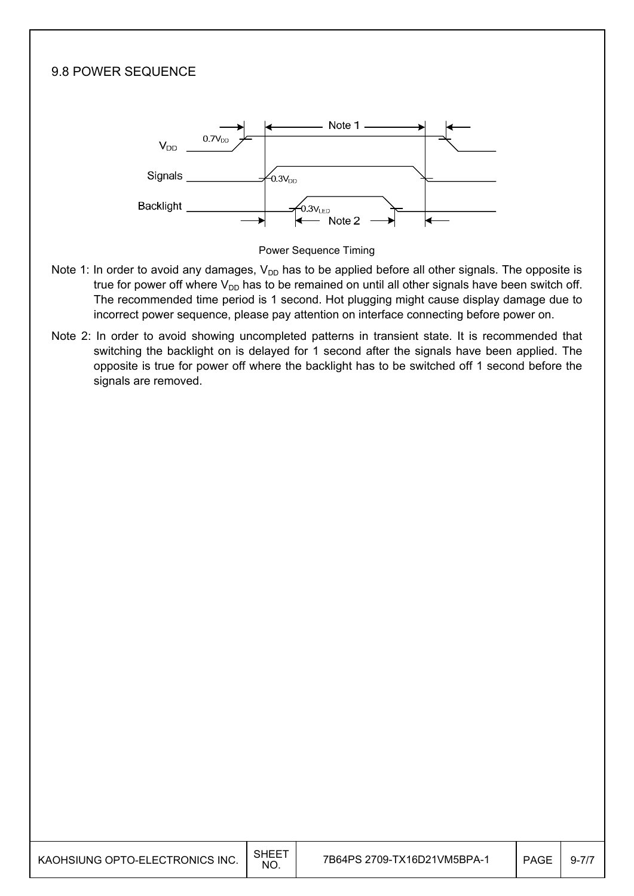

- Note 1: In order to avoid any damages,  $V_{DD}$  has to be applied before all other signals. The opposite is true for power off where  $V_{DD}$  has to be remained on until all other signals have been switch off. The recommended time period is 1 second. Hot plugging might cause display damage due to incorrect power sequence, please pay attention on interface connecting before power on.
- Note 2: In order to avoid showing uncompleted patterns in transient state. It is recommended that switching the backlight on is delayed for 1 second after the signals have been applied. The opposite is true for power off where the backlight has to be switched off 1 second before the signals are removed.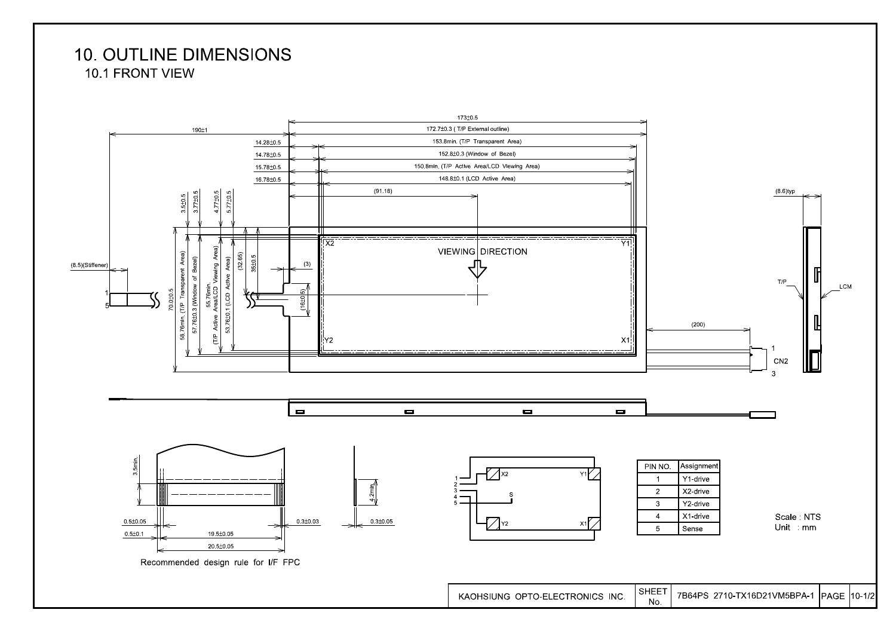# **10. OUTLINE DIMENSIONS**

10.1 FRONT VIEW

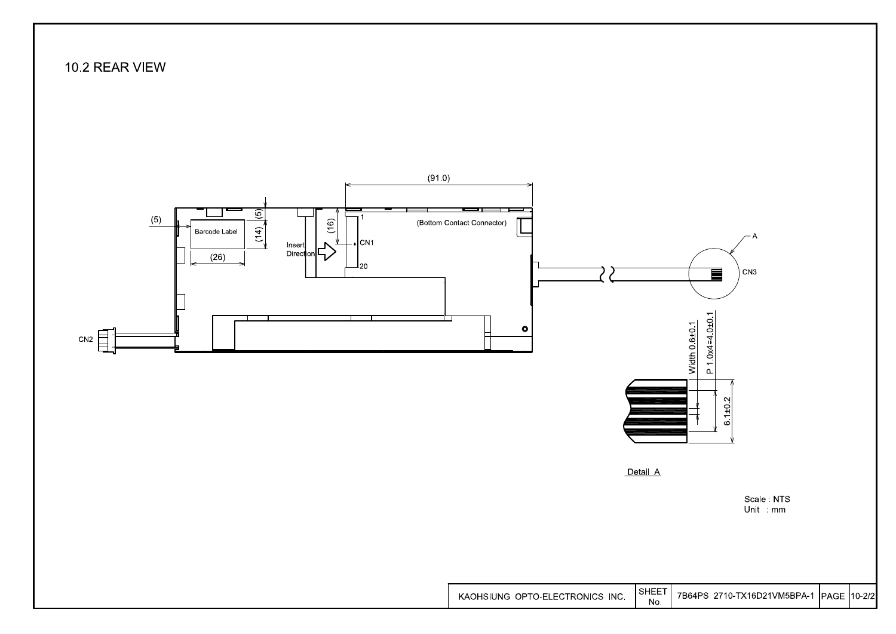## 10.2 REAR VIEW



Unit mm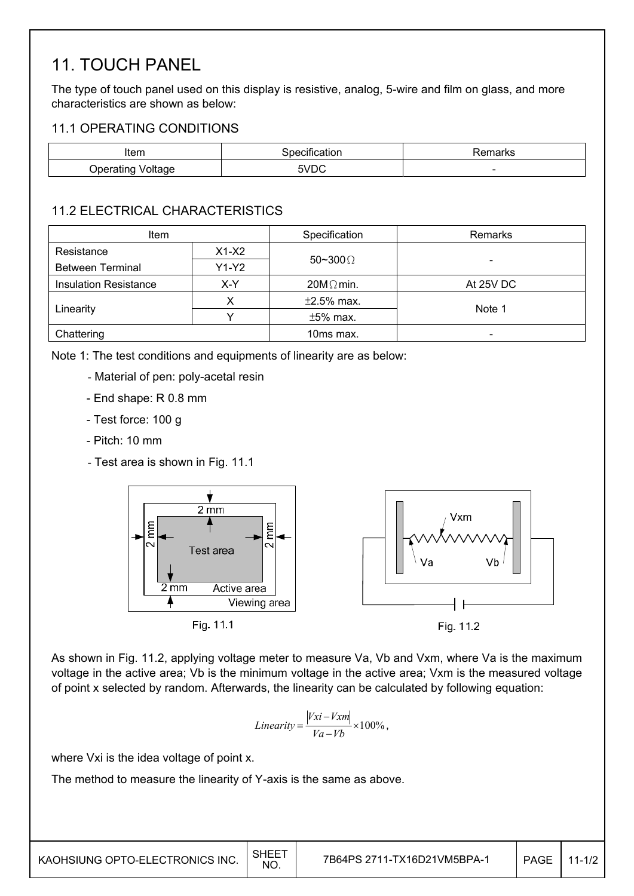# 11. TOUCH PANEL

The type of touch panel used on this display is resistive, analog, 5-wire and film on glass, and more characteristics are shown as below:

### 11.1 OPERATING CONDITIONS

| Item                              | . .<br>cification<br>ാറലെ | ⊰emarks |
|-----------------------------------|---------------------------|---------|
| anrtin'<br>Jperatir<br>. .<br>unu | 5VDC                      | -       |

## 11.2 ELECTRICAL CHARACTERISTICS

| <b>Item</b>                  |         | Specification    | Remarks   |  |  |
|------------------------------|---------|------------------|-----------|--|--|
| Resistance                   | $X1-X2$ | 50~300 $\Omega$  |           |  |  |
| <b>Between Terminal</b>      | $Y1-Y2$ |                  | -         |  |  |
| <b>Insulation Resistance</b> | X-Y     | $20M\Omega$ min. | At 25V DC |  |  |
|                              |         | $\pm 2.5\%$ max. |           |  |  |
| Linearity                    |         | $±5%$ max.       | Note 1    |  |  |
| Chattering                   |         | 10ms max.        |           |  |  |

Note 1: The test conditions and equipments of linearity are as below:

- Material of pen: poly-acetal resin
- End shape: R 0.8 mm
- Test force: 100 g
- Pitch: 10 mm
- Test area is shown in Fig. 11.1



As shown in Fig. 11.2, applying voltage meter to measure Va, Vb and Vxm, where Va is the maximum voltage in the active area; Vb is the minimum voltage in the active area; Vxm is the measured voltage of point x selected by random. Afterwards, the linearity can be calculated by following equation:

$$
Linearity = \frac{|Vxi - Vxm|}{Va - Vb} \times 100\%,
$$

where Vxi is the idea voltage of point x.

The method to measure the linearity of Y-axis is the same as above.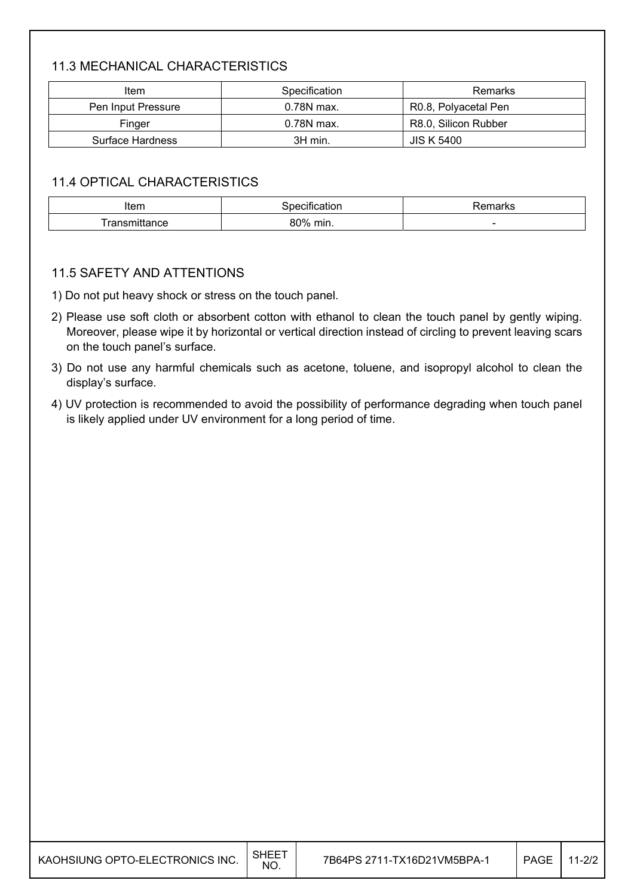## 11.3 MECHANICAL CHARACTERISTICS

| ltem               | Specification | Remarks              |
|--------------------|---------------|----------------------|
| Pen Input Pressure | 0.78N max.    | R0.8, Polyacetal Pen |
| Finger             | 0.78N max.    | R8.0, Silicon Rubber |
| Surface Hardness   | 3H min.       | JIS K 5400           |

### 11.4 OPTICAL CHARACTERISTICS

| Item                      | calion      | $-$<br>ાતા Ւ১            |
|---------------------------|-------------|--------------------------|
| ,,,,,,,,<br>.<br>nittance | 80%<br>min. | $\overline{\phantom{a}}$ |

### 11.5 SAFETY AND ATTENTIONS

1) Do not put heavy shock or stress on the touch panel.

- 2) Please use soft cloth or absorbent cotton with ethanol to clean the touch panel by gently wiping. Moreover, please wipe it by horizontal or vertical direction instead of circling to prevent leaving scars on the touch panel's surface.
- 3) Do not use any harmful chemicals such as acetone, toluene, and isopropyl alcohol to clean the display's surface.
- 4) UV protection is recommended to avoid the possibility of performance degrading when touch panel is likely applied under UV environment for a long period of time.

| KAOHSIUNG OPTO-ELECTRONICS INC. $\Big \!\!\big ^{\text{SHEET}}$ |  |
|-----------------------------------------------------------------|--|
|                                                                 |  |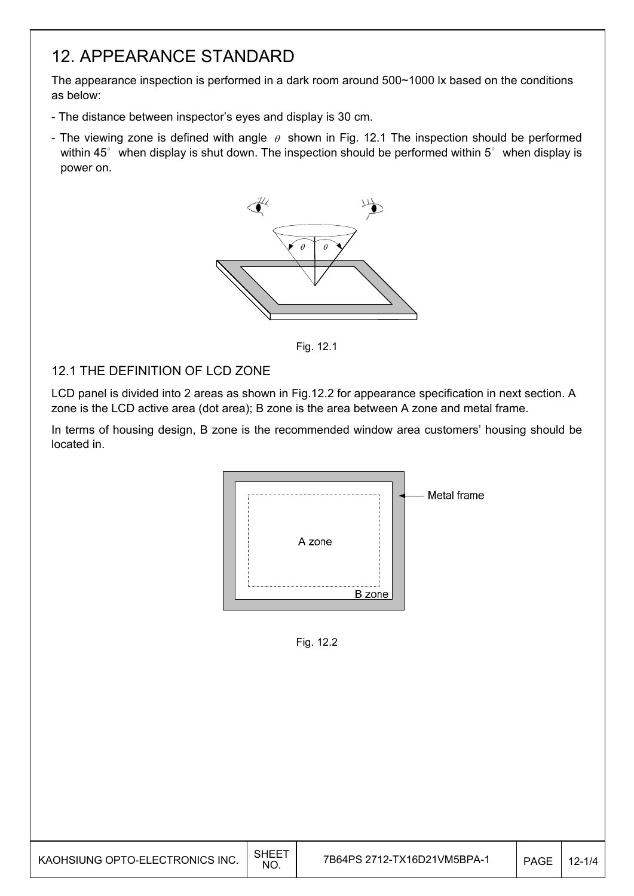# 12. APPEARANCE STANDARD

The appearance inspection is performed in a dark room around 500~1000 lx based on the conditions as below:

- The distance between inspector's eyes and display is 30 cm.
- The viewing zone is defined with angle  $\theta$  shown in Fig. 12.1 The inspection should be performed within 45 $^{\circ}$  when display is shut down. The inspection should be performed within 5 $^{\circ}$  when display is power on.



Fig. 12.1

### 12.1 THE DEFINITION OF LCD ZONE

LCD panel is divided into 2 areas as shown in Fig.12.2 for appearance specification in next section. A zone is the LCD active area (dot area); B zone is the area between A zone and metal frame.

In terms of housing design, B zone is the recommended window area customers' housing should be located in.



Fig. 12.2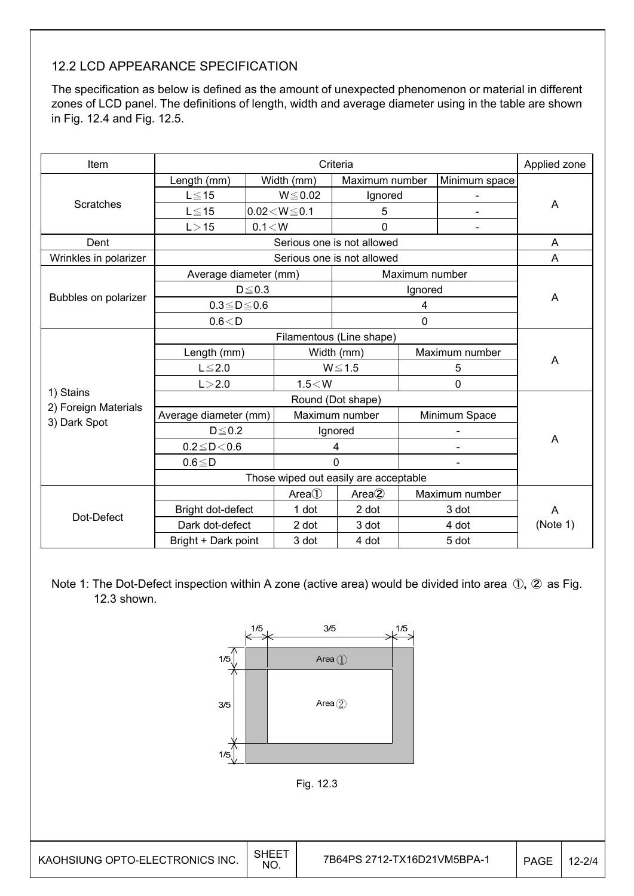## 12.2 LCD APPEARANCE SPECIFICATION

The specification as below is defined as the amount of unexpected phenomenon or material in different zones of LCD panel. The definitions of length, width and average diameter using in the table are shown in Fig. 12.4 and Fig. 12.5.

| Item                  | Criteria                              |                    |                |                              |                | Applied zone   |          |  |
|-----------------------|---------------------------------------|--------------------|----------------|------------------------------|----------------|----------------|----------|--|
|                       | Length (mm)                           |                    | Width (mm)     | Maximum number               |                | Minimum space  |          |  |
|                       | $L \leq 15$                           |                    | $W \le 0.02$   | Ignored                      |                |                |          |  |
| <b>Scratches</b>      | $L \le 15$                            | $0.02 < W \le 0.1$ |                | 5                            |                |                | A        |  |
|                       | L > 15                                | 0.1 < W            |                | 0                            |                |                |          |  |
| Dent                  |                                       |                    |                | Serious one is not allowed   |                |                | A        |  |
| Wrinkles in polarizer |                                       |                    |                | Serious one is not allowed   |                |                | Α        |  |
|                       | Average diameter (mm)                 |                    |                |                              | Maximum number |                |          |  |
|                       |                                       | $D \leq 0.3$       |                |                              | Ignored        |                |          |  |
| Bubbles on polarizer  | $0.3 \le D \le 0.6$                   |                    |                | 4                            |                |                | A        |  |
|                       | 0.6 < D                               |                    |                |                              | $\mathbf 0$    |                |          |  |
|                       | Filamentous (Line shape)              |                    |                |                              |                |                |          |  |
|                       | Length (mm)                           |                    |                | Maximum number<br>Width (mm) |                |                |          |  |
|                       | $L \leq 2.0$                          |                    |                | $W \le 1.5$                  |                | 5              | A        |  |
|                       | L > 2.0                               |                    | $1.5<$ W       |                              |                | 0              |          |  |
| 1) Stains             | Round (Dot shape)                     |                    |                |                              |                |                |          |  |
| 2) Foreign Materials  | Average diameter (mm)                 |                    | Maximum number |                              |                | Minimum Space  |          |  |
| 3) Dark Spot          | $D \le 0.2$                           |                    | Ignored        |                              |                |                |          |  |
|                       | $0.2 \le D < 0.6$                     |                    |                | 4                            |                |                | A        |  |
|                       | $0.6 \leq D$                          |                    |                | $\Omega$                     |                |                |          |  |
|                       | Those wiped out easily are acceptable |                    |                |                              |                |                |          |  |
| Dot-Defect            |                                       |                    | Area()         | Area <sup>2</sup>            |                | Maximum number |          |  |
|                       | Bright dot-defect                     |                    | 1 dot          | 2 dot                        |                | 3 dot          | A        |  |
|                       | Dark dot-defect                       |                    | 2 dot          | 3 dot                        |                | 4 dot          | (Note 1) |  |
|                       | Bright + Dark point                   |                    | 3 dot          | 4 dot                        |                | 5 dot          |          |  |

Note 1: The Dot-Defect inspection within A zone (active area) would be divided into area ①, ② as Fig. 12.3 shown.

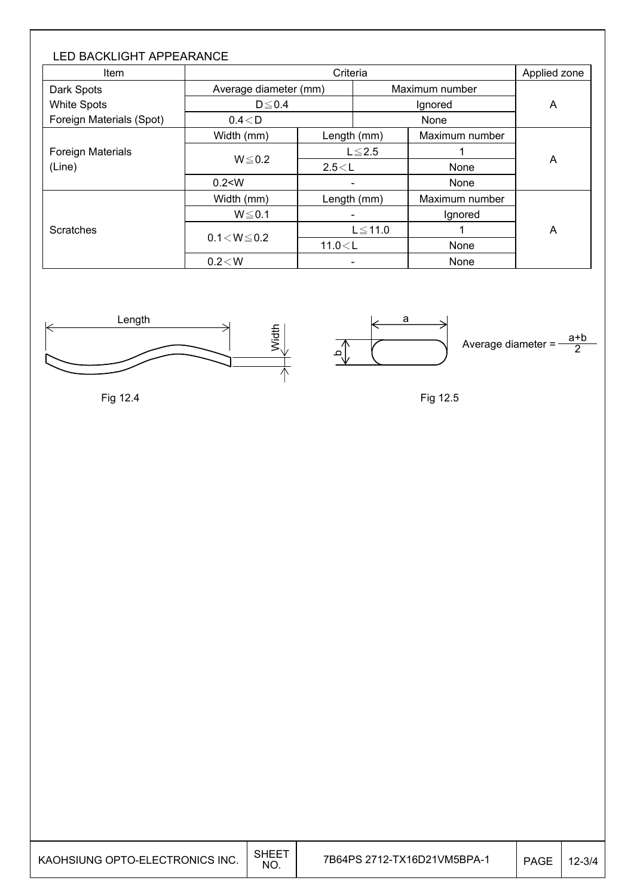| <b>LED BACKLIGHT APPEARANCE</b><br><b>Item</b> |                       | Applied zone |                |                |   |  |
|------------------------------------------------|-----------------------|--------------|----------------|----------------|---|--|
| Dark Spots                                     | Average diameter (mm) |              | Maximum number |                | A |  |
| <b>White Spots</b>                             | $D \le 0.4$           |              | Ignored        |                |   |  |
| Foreign Materials (Spot)                       | $0.4<$ D              |              |                | None           |   |  |
|                                                | Width (mm)            |              | Length (mm)    | Maximum number |   |  |
| <b>Foreign Materials</b><br>(Line)             |                       | $L \leq 2.5$ |                |                | A |  |
|                                                | $W \le 0.2$           | 2.5 < L      |                | None           |   |  |
|                                                | 0.2 < W               |              |                | None           |   |  |
|                                                | Width (mm)            | Length (mm)  |                | Maximum number |   |  |
|                                                | $W \le 0.1$           |              |                | Ignored        |   |  |
| Scratches                                      |                       | $L \le 11.0$ |                |                | A |  |
|                                                | $0.1 < W \le 0.2$     |              | 11.0 < L       | None           |   |  |
|                                                | 0.2 < W               |              |                | None           |   |  |









Fig 12.5

| KAOHSIUNG OPTO-ELECTRONICS INC. | <b>SHEET</b><br>NO. | 7B64PS 2712-TX16D21VM5BPA-1 | PAGE | $12 - 3/4$ |
|---------------------------------|---------------------|-----------------------------|------|------------|
|---------------------------------|---------------------|-----------------------------|------|------------|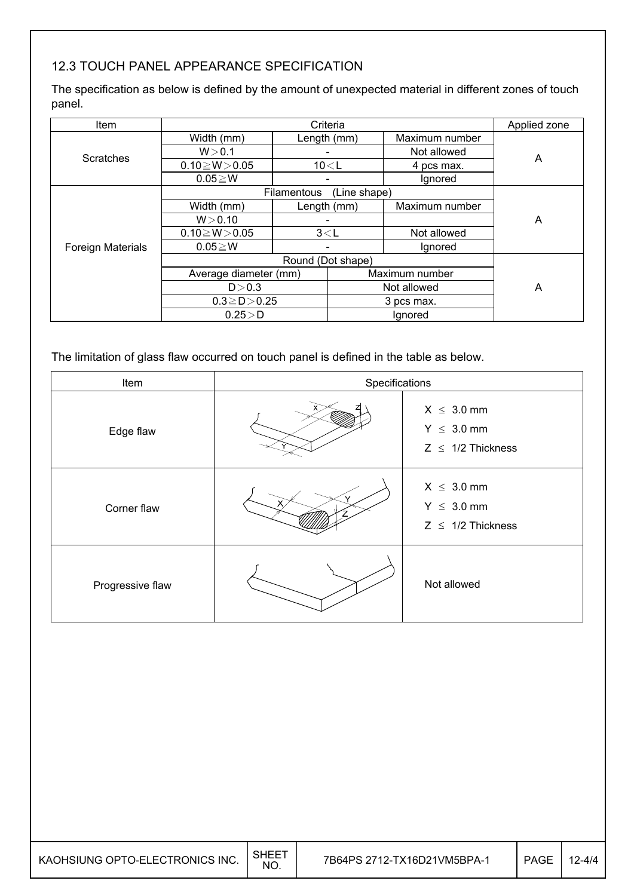## 12.3 TOUCH PANEL APPEARANCE SPECIFICATION

The specification as below is defined by the amount of unexpected material in different zones of touch panel.

| <b>Item</b>              |                       | Applied zone |                |                |   |
|--------------------------|-----------------------|--------------|----------------|----------------|---|
|                          | Width (mm)            | Length (mm)  |                | Maximum number |   |
| <b>Scratches</b>         | W > 0.1               |              |                | Not allowed    | Α |
|                          | $0.10 \ge W > 0.05$   | 10 < L       |                | 4 pcs max.     |   |
|                          | $0.05 \geq W$         |              |                | Ignored        |   |
|                          |                       | Filamentous  | (Line shape)   |                |   |
| <b>Foreign Materials</b> | Width (mm)            | Length (mm)  |                | Maximum number |   |
|                          | W > 0.10              |              |                |                | Α |
|                          | $0.10 \ge W > 0.05$   | 3< L         |                | Not allowed    |   |
|                          | $0.05 \geq W$         |              |                | Ignored        |   |
|                          |                       |              |                |                |   |
|                          | Average diameter (mm) |              | Maximum number |                |   |
|                          | D > 0.3               |              | Not allowed    |                | Α |
|                          | $0.3 \ge D > 0.25$    |              | 3 pcs max.     |                |   |
|                          | $0.25\!>\!D$          |              | Ignored        |                |   |

The limitation of glass flaw occurred on touch panel is defined in the table as below.

| Item             | Specifications |                                                              |  |  |
|------------------|----------------|--------------------------------------------------------------|--|--|
| Edge flaw        |                | $X \leq 3.0$ mm<br>$Y \leq 3.0$ mm<br>$Z \leq 1/2$ Thickness |  |  |
| Corner flaw      |                | $X \leq 3.0$ mm<br>$Y \leq 3.0$ mm<br>$Z \leq 1/2$ Thickness |  |  |
| Progressive flaw |                | Not allowed                                                  |  |  |

| KAOHSIUNG OPTO-ELECTRONICS INC. | <b>SHEET</b><br>NO. | 7B64PS 2712-TX16D21VM5BPA-1 | PAGE | $12 - 4/4$ |
|---------------------------------|---------------------|-----------------------------|------|------------|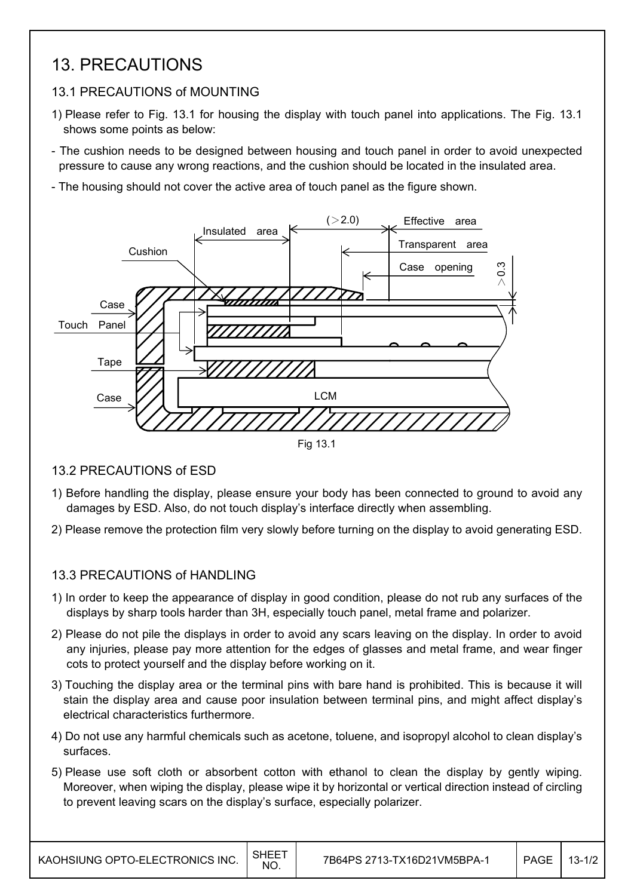# 13. PRECAUTIONS

## 13.1 PRECAUTIONS of MOUNTING

- 1) Please refer to Fig. 13.1 for housing the display with touch panel into applications. The Fig. 13.1 shows some points as below:
- The cushion needs to be designed between housing and touch panel in order to avoid unexpected pressure to cause any wrong reactions, and the cushion should be located in the insulated area.
- The housing should not cover the active area of touch panel as the figure shown.



### 13.2 PRECAUTIONS of ESD

- 1) Before handling the display, please ensure your body has been connected to ground to avoid any damages by ESD. Also, do not touch display's interface directly when assembling.
- 2) Please remove the protection film very slowly before turning on the display to avoid generating ESD.

### 13.3 PRECAUTIONS of HANDLING

- 1) In order to keep the appearance of display in good condition, please do not rub any surfaces of the displays by sharp tools harder than 3H, especially touch panel, metal frame and polarizer.
- 2) Please do not pile the displays in order to avoid any scars leaving on the display. In order to avoid any injuries, please pay more attention for the edges of glasses and metal frame, and wear finger cots to protect yourself and the display before working on it.
- 3) Touching the display area or the terminal pins with bare hand is prohibited. This is because it will stain the display area and cause poor insulation between terminal pins, and might affect display's electrical characteristics furthermore.
- 4) Do not use any harmful chemicals such as acetone, toluene, and isopropyl alcohol to clean display's surfaces.
- 5) Please use soft cloth or absorbent cotton with ethanol to clean the display by gently wiping. Moreover, when wiping the display, please wipe it by horizontal or vertical direction instead of circling to prevent leaving scars on the display's surface, especially polarizer.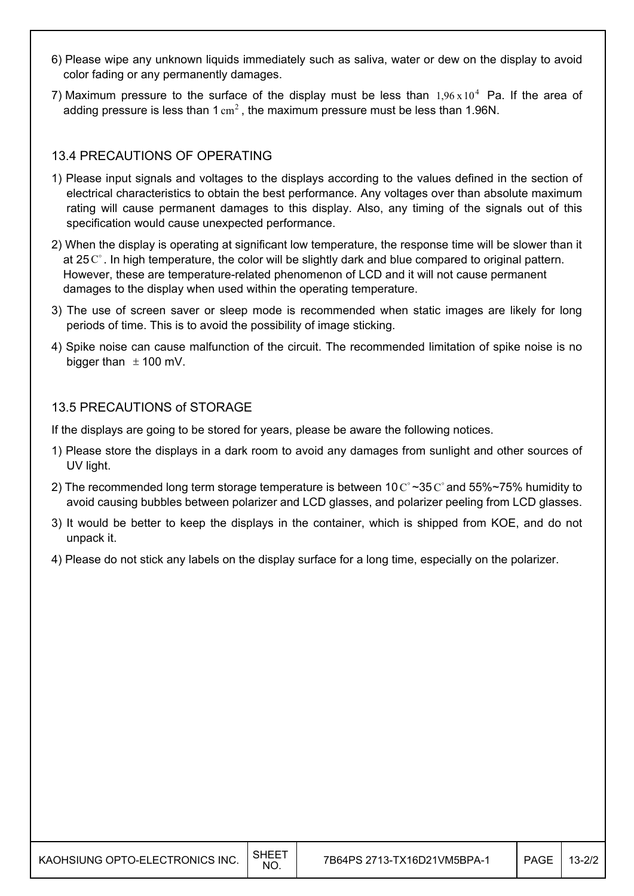- 6) Please wipe any unknown liquids immediately such as saliva, water or dew on the display to avoid color fading or any permanently damages.
- 7) Maximum pressure to the surface of the display must be less than  $1.96 \times 10^4$  Pa. If the area of adding pressure is less than 1  $\text{cm}^2$ , the maximum pressure must be less than 1.96N.

### 13.4 PRECAUTIONS OF OPERATING

- 1) Please input signals and voltages to the displays according to the values defined in the section of electrical characteristics to obtain the best performance. Any voltages over than absolute maximum rating will cause permanent damages to this display. Also, any timing of the signals out of this specification would cause unexpected performance.
- 2) When the display is operating at significant low temperature, the response time will be slower than it at  $25^\circ$ . In high temperature, the color will be slightly dark and blue compared to original pattern. However, these are temperature-related phenomenon of LCD and it will not cause permanent damages to the display when used within the operating temperature.
- 3) The use of screen saver or sleep mode is recommended when static images are likely for long periods of time. This is to avoid the possibility of image sticking.
- 4) Spike noise can cause malfunction of the circuit. The recommended limitation of spike noise is no bigger than  $\pm$  100 mV.

### 13.5 PRECAUTIONS of STORAGE

If the displays are going to be stored for years, please be aware the following notices.

- 1) Please store the displays in a dark room to avoid any damages from sunlight and other sources of UV light.
- 2) The recommended long term storage temperature is between 10  $\degree$  ~35  $\degree$  and 55%~75% humidity to avoid causing bubbles between polarizer and LCD glasses, and polarizer peeling from LCD glasses.
- 3) It would be better to keep the displays in the container, which is shipped from KOE, and do not unpack it.
- 4) Please do not stick any labels on the display surface for a long time, especially on the polarizer.